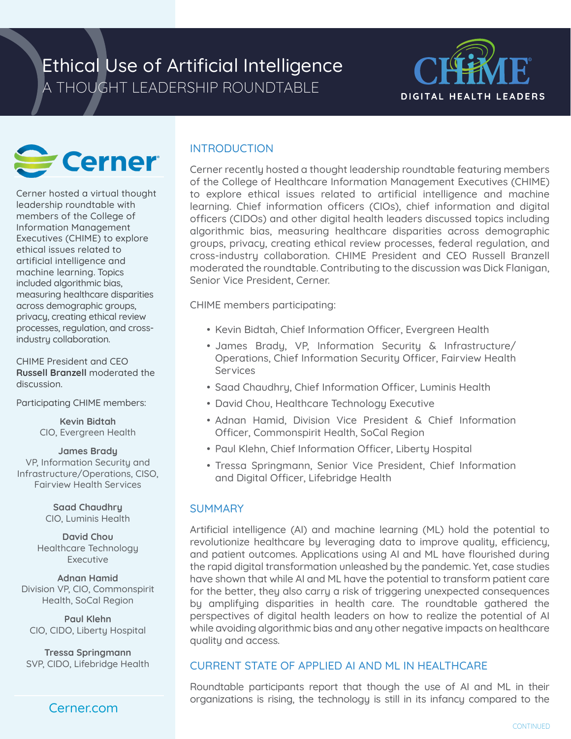# Ethical Use of Artificial Intelligence A THOUGHT LEADERSHIP ROUNDTABLE





Cerner hosted a virtual thought leadership roundtable with members of the College of Information Management Executives (CHIME) to explore ethical issues related to artificial intelligence and machine learning. Topics included algorithmic bias, measuring healthcare disparities across demographic groups, privacy, creating ethical review processes, regulation, and crossindustry collaboration.

CHIME President and CEO **Russell Branzell** moderated the discussion.

Participating CHIME members:

**Kevin Bidtah**  CIO, Evergreen Health

**James Brady** VP, Information Security and Infrastructure/Operations, CISO, Fairview Health Services

> **Saad Chaudhry** CIO, Luminis Health

**David Chou** Healthcare Technology Executive

**Adnan Hamid** Division VP, CIO, Commonspirit Health, SoCal Region

**Paul Klehn** CIO, CIDO, Liberty Hospital

**Tressa Springmann** SVP, CIDO, Lifebridge Health

## Cerner.com

## **INTRODUCTION**

Cerner recently hosted a thought leadership roundtable featuring members of the College of Healthcare Information Management Executives (CHIME) to explore ethical issues related to artificial intelligence and machine learning. Chief information officers (CIOs), chief information and digital officers (CIDOs) and other digital health leaders discussed topics including algorithmic bias, measuring healthcare disparities across demographic groups, privacy, creating ethical review processes, federal regulation, and cross-industry collaboration. CHIME President and CEO Russell Branzell moderated the roundtable. Contributing to the discussion was Dick Flanigan, Senior Vice President, Cerner.

CHIME members participating:

- Kevin Bidtah, Chief Information Officer, Evergreen Health
- James Brady, VP, Information Security & Infrastructure/ Operations, Chief Information Security Officer, Fairview Health Services
- Saad Chaudhry, Chief Information Officer, Luminis Health
- David Chou, Healthcare Technology Executive
- Adnan Hamid, Division Vice President & Chief Information Officer, Commonspirit Health, SoCal Region
- Paul Klehn, Chief Information Officer, Liberty Hospital
- Tressa Springmann, Senior Vice President, Chief Information and Digital Officer, Lifebridge Health

## **SUMMARY**

Artificial intelligence (AI) and machine learning (ML) hold the potential to revolutionize healthcare by leveraging data to improve quality, efficiency, and patient outcomes. Applications using AI and ML have flourished during the rapid digital transformation unleashed by the pandemic. Yet, case studies have shown that while AI and ML have the potential to transform patient care for the better, they also carry a risk of triggering unexpected consequences by amplifying disparities in health care. The roundtable gathered the perspectives of digital health leaders on how to realize the potential of AI while avoiding algorithmic bias and any other negative impacts on healthcare quality and access.

## CURRENT STATE OF APPLIED AI AND ML IN HEALTHCARE

Roundtable participants report that though the use of AI and ML in their organizations is rising, the technology is still in its infancy compared to the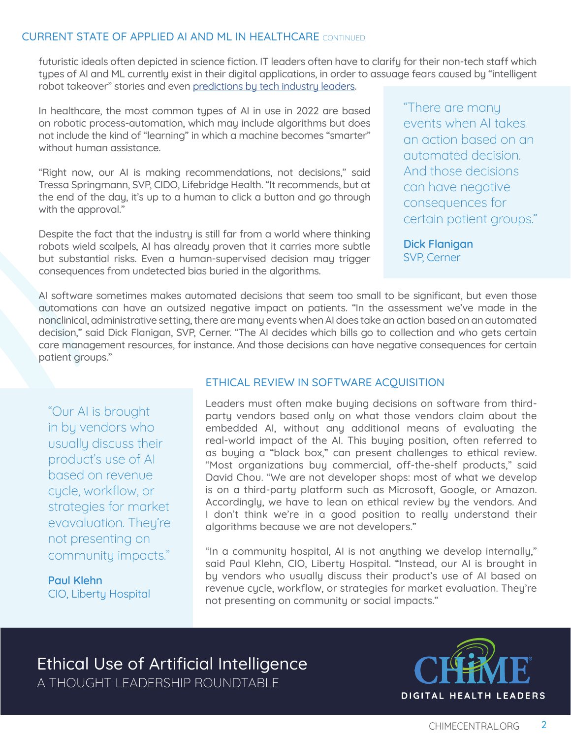#### CURRENT STATE OF APPLIED AI AND ML IN HEALTHCARE CONTINUED

futuristic ideals often depicted in science fiction. IT leaders often have to clarify for their non-tech staff which types of AI and ML currently exist in their digital applications, in order to assuage fears caused by "intelligent robot takeover" stories and even [predictions by tech industry leaders](https://finance.yahoo.com/news/elon-musk-unveils-tesla-robot-102556485.html).

In healthcare, the most common types of AI in use in 2022 are based on robotic process-automation, which may include algorithms but does not include the kind of "learning" in which a machine becomes "smarter" without human assistance.

"Right now, our AI is making recommendations, not decisions," said Tressa Springmann, SVP, CIDO, Lifebridge Health. "It recommends, but at the end of the day, it's up to a human to click a button and go through with the approval."

Despite the fact that the industry is still far from a world where thinking robots wield scalpels, AI has already proven that it carries more subtle but substantial risks. Even a human-supervised decision may trigger consequences from undetected bias buried in the algorithms.

"There are many events when AI takes an action based on an automated decision. And those decisions can have negative consequences for certain patient groups."

**Dick Flanigan** SVP, Cerner

AI software sometimes makes automated decisions that seem too small to be significant, but even those automations can have an outsized negative impact on patients. "In the assessment we've made in the nonclinical, administrative setting, there are many events when AI does take an action based on an automated decision," said Dick Flanigan, SVP, Cerner. "The AI decides which bills go to collection and who gets certain care management resources, for instance. And those decisions can have negative consequences for certain patient groups."

"Our AI is brought in by vendors who usually discuss their product's use of AI based on revenue cycle, workflow, or strategies for market evavaluation. They're not presenting on community impacts."

**Paul Klehn** CIO, Liberty Hospital

#### ETHICAL REVIEW IN SOFTWARE ACQUISITION

Leaders must often make buying decisions on software from thirdparty vendors based only on what those vendors claim about the embedded AI, without any additional means of evaluating the real-world impact of the AI. This buying position, often referred to as buying a "black box," can present challenges to ethical review. "Most organizations buy commercial, off-the-shelf products," said David Chou. "We are not developer shops: most of what we develop is on a third-party platform such as Microsoft, Google, or Amazon. Accordingly, we have to lean on ethical review by the vendors. And I don't think we're in a good position to really understand their algorithms because we are not developers."

"In a community hospital, AI is not anything we develop internally," said Paul Klehn, CIO, Liberty Hospital. "Instead, our AI is brought in by vendors who usually discuss their product's use of AI based on revenue cycle, workflow, or strategies for market evaluation. They're not presenting on community or social impacts."

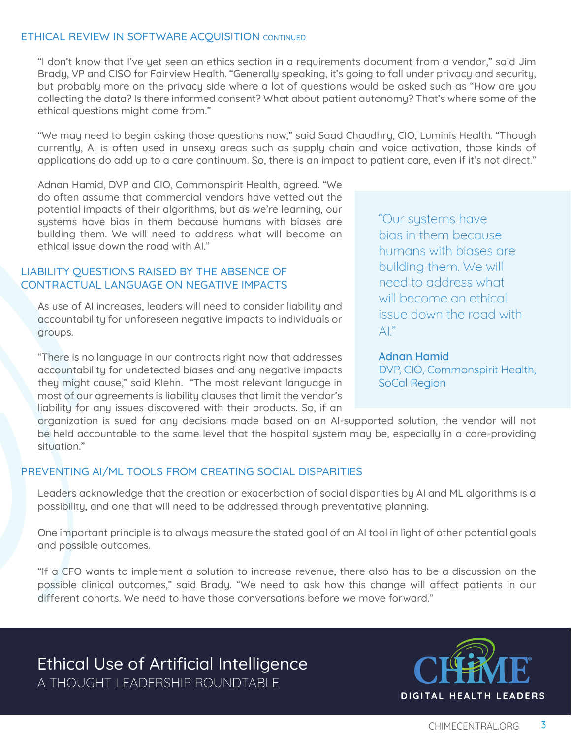#### ETHICAL REVIEW IN SOFTWARE ACQUISITION CONTINUED

"I don't know that I've yet seen an ethics section in a requirements document from a vendor," said Jim Brady, VP and CISO for Fairview Health. "Generally speaking, it's going to fall under privacy and security, but probably more on the privacy side where a lot of questions would be asked such as "How are you collecting the data? Is there informed consent? What about patient autonomy? That's where some of the ethical questions might come from."

"We may need to begin asking those questions now," said Saad Chaudhry, CIO, Luminis Health. "Though currently, AI is often used in unsexy areas such as supply chain and voice activation, those kinds of applications do add up to a care continuum. So, there is an impact to patient care, even if it's not direct."

Adnan Hamid, DVP and CIO, Commonspirit Health, agreed. "We do often assume that commercial vendors have vetted out the potential impacts of their algorithms, but as we're learning, our systems have bias in them because humans with biases are building them. We will need to address what will become an ethical issue down the road with AI."

#### LIABILITY QUESTIONS RAISED BY THE ABSENCE OF CONTRACTUAL LANGUAGE ON NEGATIVE IMPACTS

As use of AI increases, leaders will need to consider liability and accountability for unforeseen negative impacts to individuals or groups.

"There is no language in our contracts right now that addresses accountability for undetected biases and any negative impacts they might cause," said Klehn. "The most relevant language in most of our agreements is liability clauses that limit the vendor's liability for any issues discovered with their products. So, if an

"Our systems have bias in them because humans with biases are building them. We will need to address what will become an ethical issue down the road with  $\mathsf{Al}$  "

**Adnan Hamid** DVP, CIO, Commonspirit Health, SoCal Region

organization is sued for any decisions made based on an AI-supported solution, the vendor will not be held accountable to the same level that the hospital system may be, especially in a care-providing situation."

## PREVENTING AI/ML TOOLS FROM CREATING SOCIAL DISPARITIES

Leaders acknowledge that the creation or exacerbation of social disparities by AI and ML algorithms is a possibility, and one that will need to be addressed through preventative planning.

One important principle is to always measure the stated goal of an AI tool in light of other potential goals and possible outcomes.

"If a CFO wants to implement a solution to increase revenue, there also has to be a discussion on the possible clinical outcomes," said Brady. "We need to ask how this change will affect patients in our different cohorts. We need to have those conversations before we move forward."

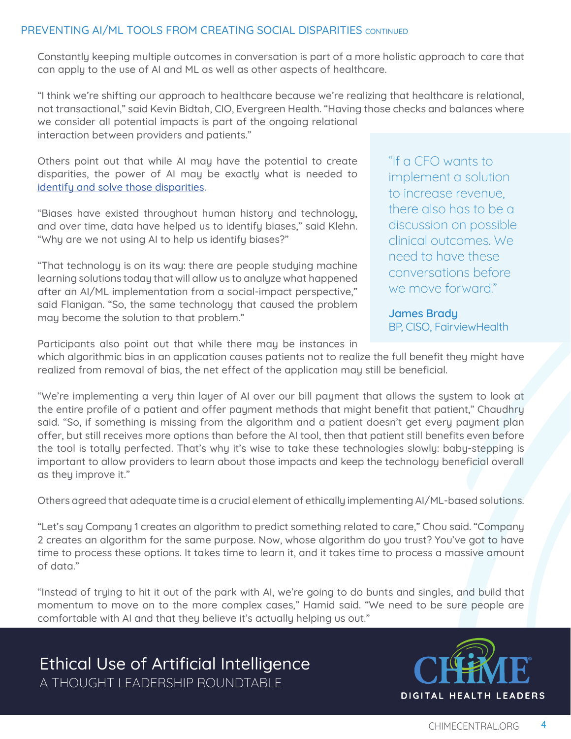## PREVENTING AI/ML TOOLS FROM CREATING SOCIAL DISPARITIES CONTINUED

Constantly keeping multiple outcomes in conversation is part of a more holistic approach to care that can apply to the use of AI and ML as well as other aspects of healthcare.

"I think we're shifting our approach to healthcare because we're realizing that healthcare is relational, not transactional," said Kevin Bidtah, CIO, Evergreen Health. "Having those checks and balances where we consider all potential impacts is part of the ongoing relational interaction between providers and patients."

Others point out that while AI may have the potential to create disparities, the power of AI may be exactly what is needed to [identify and solve those disparities](https://journalofethics.ama-assn.org/article/can-ai-help-reduce-disparities-general-medical-and-mental-health-care/2019-02?source=post_page).

"Biases have existed throughout human history and technology, and over time, data have helped us to identify biases," said Klehn. "Why are we not using AI to help us identify biases?"

"That technology is on its way: there are people studying machine learning solutions today that will allow us to analyze what happened after an AI/ML implementation from a social-impact perspective," said Flanigan. "So, the same technology that caused the problem may become the solution to that problem."

"If a CFO wants to implement a solution to increase revenue, there also has to be a discussion on possible clinical outcomes. We need to have these conversations before we move forward."

**James Brady** BP, CISO, FairviewHealth

Participants also point out that while there may be instances in

which algorithmic bias in an application causes patients not to realize the full benefit they might have realized from removal of bias, the net effect of the application may still be beneficial.

"We're implementing a very thin layer of AI over our bill payment that allows the system to look at the entire profile of a patient and offer payment methods that might benefit that patient," Chaudhry said. "So, if something is missing from the algorithm and a patient doesn't get every payment plan offer, but still receives more options than before the AI tool, then that patient still benefits even before the tool is totally perfected. That's why it's wise to take these technologies slowly: baby-stepping is important to allow providers to learn about those impacts and keep the technology beneficial overall as they improve it."

Others agreed that adequate time is a crucial element of ethically implementing AI/ML-based solutions.

"Let's say Company 1 creates an algorithm to predict something related to care," Chou said. "Company 2 creates an algorithm for the same purpose. Now, whose algorithm do you trust? You've got to have time to process these options. It takes time to learn it, and it takes time to process a massive amount of data."

"Instead of trying to hit it out of the park with AI, we're going to do bunts and singles, and build that momentum to move on to the more complex cases," Hamid said. "We need to be sure people are comfortable with AI and that they believe it's actually helping us out."

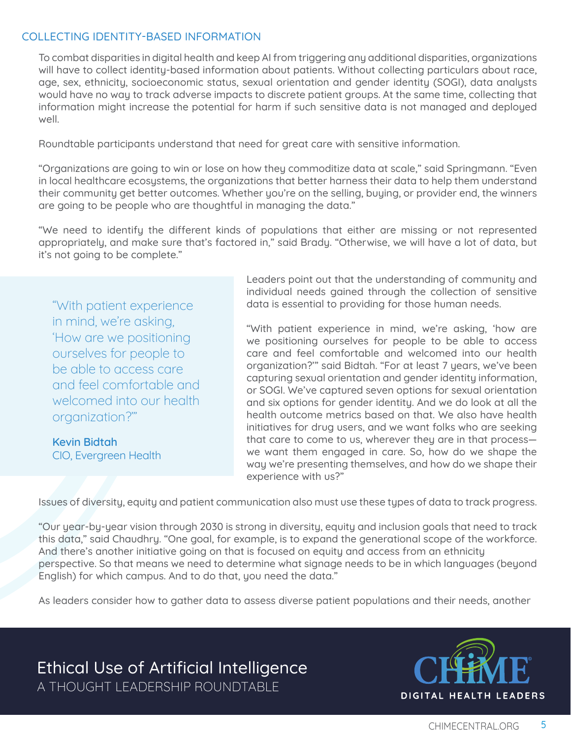#### COLLECTING IDENTITY-BASED INFORMATION

To combat disparities in digital health and keep AI from triggering any additional disparities, organizations will have to collect identity-based information about patients. Without collecting particulars about race, age, sex, ethnicity, socioeconomic status, sexual orientation and gender identity (SOGI), data analysts would have no way to track adverse impacts to discrete patient groups. At the same time, collecting that information might increase the potential for harm if such sensitive data is not managed and deployed well.

Roundtable participants understand that need for great care with sensitive information.

"Organizations are going to win or lose on how they commoditize data at scale," said Springmann. "Even in local healthcare ecosystems, the organizations that better harness their data to help them understand their community get better outcomes. Whether you're on the selling, buying, or provider end, the winners are going to be people who are thoughtful in managing the data."

"We need to identify the different kinds of populations that either are missing or not represented appropriately, and make sure that's factored in," said Brady. "Otherwise, we will have a lot of data, but it's not going to be complete."

"With patient experience in mind, we're asking, 'How are we positioning ourselves for people to be able to access care and feel comfortable and welcomed into our health organization?'"

**Kevin Bidtah** CIO, Evergreen Health Leaders point out that the understanding of community and individual needs gained through the collection of sensitive data is essential to providing for those human needs.

"With patient experience in mind, we're asking, 'how are we positioning ourselves for people to be able to access care and feel comfortable and welcomed into our health organization?'" said Bidtah. "For at least 7 years, we've been capturing sexual orientation and gender identity information, or SOGI. We've captured seven options for sexual orientation and six options for gender identity. And we do look at all the health outcome metrics based on that. We also have health initiatives for drug users, and we want folks who are seeking that care to come to us, wherever they are in that process we want them engaged in care. So, how do we shape the way we're presenting themselves, and how do we shape their experience with us?"

Issues of diversity, equity and patient communication also must use these types of data to track progress.

"Our year-by-year vision through 2030 is strong in diversity, equity and inclusion goals that need to track this data," said Chaudhry. "One goal, for example, is to expand the generational scope of the workforce. And there's another initiative going on that is focused on equity and access from an ethnicity perspective. So that means we need to determine what signage needs to be in which languages (beyond English) for which campus. And to do that, you need the data."

As leaders consider how to gather data to assess diverse patient populations and their needs, another

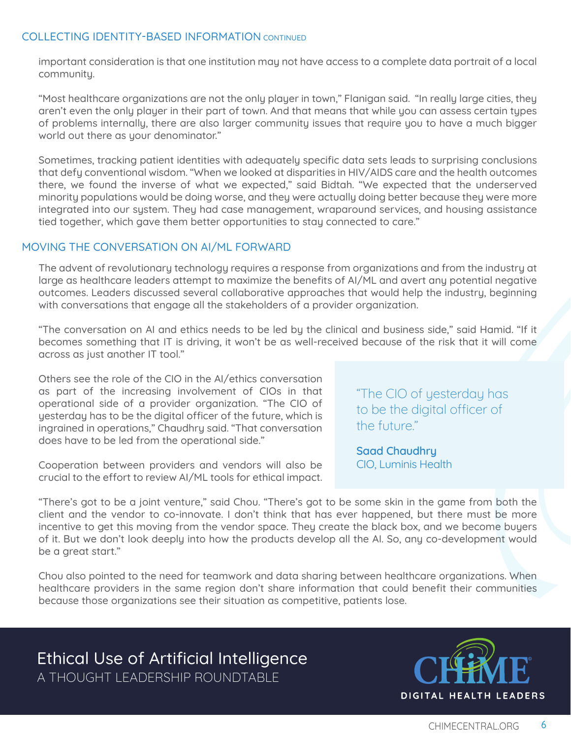#### COLLECTING IDENTITY-BASED INFORMATION CONTINUED

important consideration is that one institution may not have access to a complete data portrait of a local community.

"Most healthcare organizations are not the only player in town," Flanigan said. "In really large cities, they aren't even the only player in their part of town. And that means that while you can assess certain types of problems internally, there are also larger community issues that require you to have a much bigger world out there as your denominator."

Sometimes, tracking patient identities with adequately specific data sets leads to surprising conclusions that defy conventional wisdom. "When we looked at disparities in HIV/AIDS care and the health outcomes there, we found the inverse of what we expected," said Bidtah. "We expected that the underserved minority populations would be doing worse, and they were actually doing better because they were more integrated into our system. They had case management, wraparound services, and housing assistance tied together, which gave them better opportunities to stay connected to care."

#### MOVING THE CONVERSATION ON AI/ML FORWARD

The advent of revolutionary technology requires a response from organizations and from the industry at large as healthcare leaders attempt to maximize the benefits of AI/ML and avert any potential negative outcomes. Leaders discussed several collaborative approaches that would help the industry, beginning with conversations that engage all the stakeholders of a provider organization.

"The conversation on AI and ethics needs to be led by the clinical and business side," said Hamid. "If it becomes something that IT is driving, it won't be as well-received because of the risk that it will come across as just another IT tool."

Others see the role of the CIO in the AI/ethics conversation as part of the increasing involvement of CIOs in that operational side of a provider organization. "The CIO of yesterday has to be the digital officer of the future, which is ingrained in operations," Chaudhry said. "That conversation does have to be led from the operational side."

Cooperation between providers and vendors will also be crucial to the effort to review AI/ML tools for ethical impact. "The CIO of yesterday has to be the digital officer of the future."

**Saad Chaudhry** CIO, Luminis Health

"There's got to be a joint venture," said Chou. "There's got to be some skin in the game from both the client and the vendor to co-innovate. I don't think that has ever happened, but there must be more incentive to get this moving from the vendor space. They create the black box, and we become buyers of it. But we don't look deeply into how the products develop all the AI. So, any co-development would be a great start."

Chou also pointed to the need for teamwork and data sharing between healthcare organizations. When healthcare providers in the same region don't share information that could benefit their communities because those organizations see their situation as competitive, patients lose.

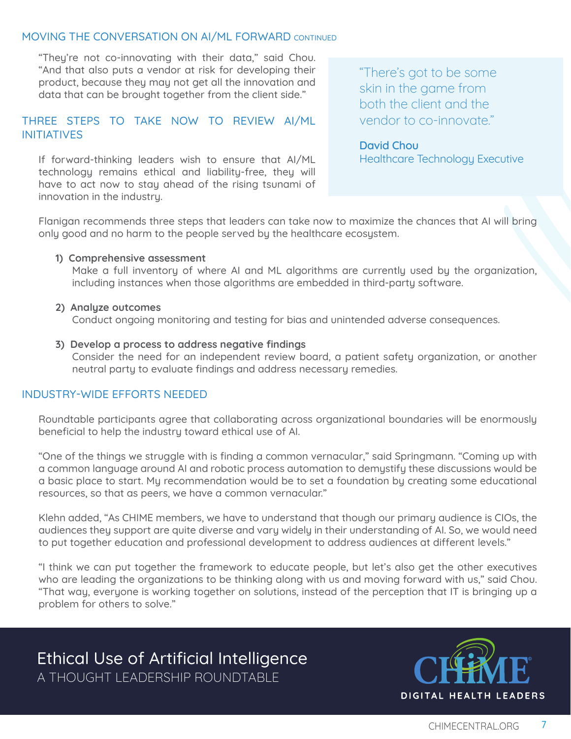#### MOVING THE CONVERSATION ON AI/ML FORWARD CONTINUED

"They're not co-innovating with their data," said Chou. "And that also puts a vendor at risk for developing their product, because they may not get all the innovation and data that can be brought together from the client side."

#### THREE STEPS TO TAKE NOW TO REVIEW AI/ML INITIATIVES

If forward-thinking leaders wish to ensure that AI/ML technology remains ethical and liability-free, they will have to act now to stay ahead of the rising tsunami of innovation in the industry.

"There's got to be some skin in the game from both the client and the vendor to co-innovate."

## **David Chou**

Healthcare Technology Executive

Flanigan recommends three steps that leaders can take now to maximize the chances that AI will bring only good and no harm to the people served by the healthcare ecosystem.

#### **1) Comprehensive assessment**

Make a full inventory of where AI and ML algorithms are currently used by the organization, including instances when those algorithms are embedded in third-party software.

#### **2) Analyze outcomes**

Conduct ongoing monitoring and testing for bias and unintended adverse consequences.

#### **3) Develop a process to address negative findings**

Consider the need for an independent review board, a patient safety organization, or another neutral party to evaluate findings and address necessary remedies.

#### INDUSTRY-WIDE EFFORTS NEEDED

Roundtable participants agree that collaborating across organizational boundaries will be enormously beneficial to help the industry toward ethical use of AI.

"One of the things we struggle with is finding a common vernacular," said Springmann. "Coming up with a common language around AI and robotic process automation to demystify these discussions would be a basic place to start. My recommendation would be to set a foundation by creating some educational resources, so that as peers, we have a common vernacular."

Klehn added, "As CHIME members, we have to understand that though our primary audience is CIOs, the audiences they support are quite diverse and vary widely in their understanding of AI. So, we would need to put together education and professional development to address audiences at different levels."

"I think we can put together the framework to educate people, but let's also get the other executives who are leading the organizations to be thinking along with us and moving forward with us," said Chou. "That way, everyone is working together on solutions, instead of the perception that IT is bringing up a problem for others to solve."